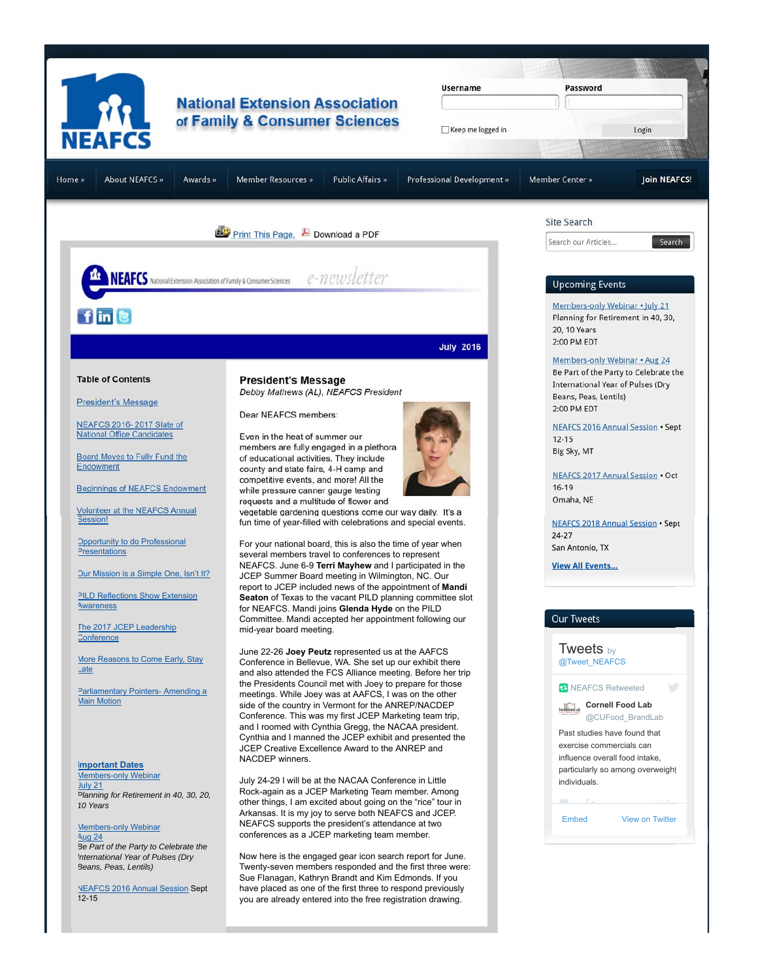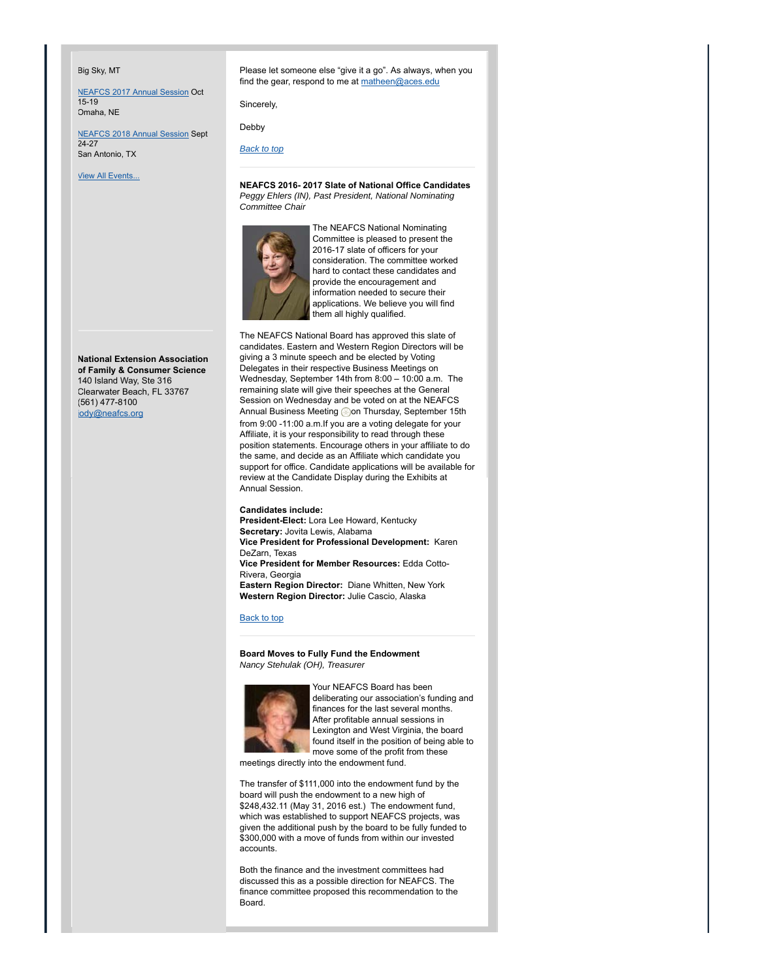#### Big Sky, MT

NEAFCS 2017 Annual Session Oct 15-19 Omaha, NE

NEAFCS 2018 Annual Session Sept 24-27 San Antonio, TX

**View All Events...** 

**National Extension Association of Family & Consumer Science** 140 Island Way, Ste 316 Clearwater Beach, FL 33767 (561) 477-8100 jody@neafcs.org

Please let someone else "give it a go". As always, when you find the gear, respond to me at matheen@aces.edu

Sincerely,

Debby

*Back to top*

**NEAFCS 2016- 2017 Slate of National Office Candidates** *Peggy Ehlers (IN), Past President, National Nominating Committee Chair*



The NEAFCS National Nominating Committee is pleased to present the 2016-17 slate of officers for your consideration. The committee worked hard to contact these candidates and provide the encouragement and information needed to secure their applications. We believe you will find them all highly qualified.

The NEAFCS National Board has approved this slate of candidates. Eastern and Western Region Directors will be giving a 3 minute speech and be elected by Voting Delegates in their respective Business Meetings on Wednesday, September 14th from 8:00 – 10:00 a.m. The remaining slate will give their speeches at the General Session on Wednesday and be voted on at the NEAFCS Annual Business Meeting **on Thursday, September 15th** from 9:00 -11:00 a.m.If you are a voting delegate for your Affiliate, it is your responsibility to read through these position statements. Encourage others in your affiliate to do the same, and decide as an Affiliate which candidate you support for office. Candidate applications will be available for review at the Candidate Display during the Exhibits at Annual Session.

**Candidates include: President-Elect:** Lora Lee Howard, Kentucky **Secretary:** Jovita Lewis, Alabama **Vice President for Professional Development:** Karen DeZarn, Texas **Vice President for Member Resources:** Edda Cotto-Rivera, Georgia **Eastern Region Director:** Diane Whitten, New York **Western Region Director:** Julie Cascio, Alaska

## Back to top

**Board Moves to Fully Fund the Endowment** *Nancy Stehulak (OH), Treasurer*



Your NEAFCS Board has been deliberating our association's funding and finances for the last several months. After profitable annual sessions in Lexington and West Virginia, the board found itself in the position of being able to move some of the profit from these

meetings directly into the endowment fund.

The transfer of \$111,000 into the endowment fund by the board will push the endowment to a new high of \$248,432.11 (May 31, 2016 est.) The endowment fund, which was established to support NEAFCS projects, was given the additional push by the board to be fully funded to \$300,000 with a move of funds from within our invested accounts.

Both the finance and the investment committees had discussed this as a possible direction for NEAFCS. The finance committee proposed this recommendation to the Board.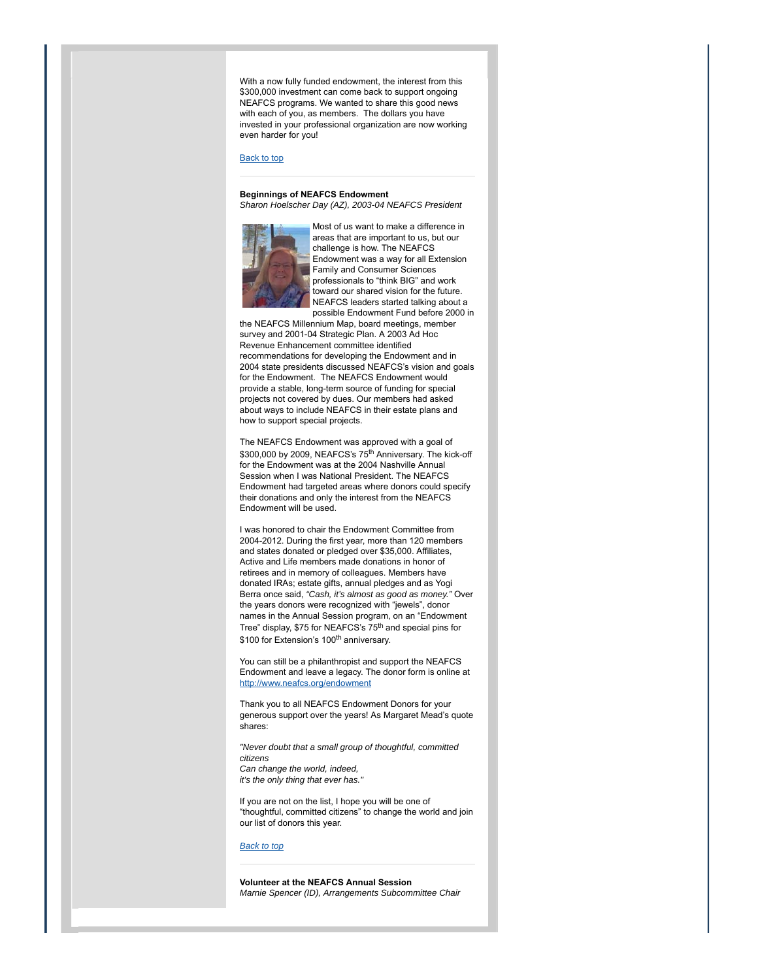With a now fully funded endowment, the interest from this \$300,000 investment can come back to support ongoing NEAFCS programs. We wanted to share this good news with each of you, as members. The dollars you have invested in your professional organization are now working even harder for you!

#### Back to top

## **Beginnings of NEAFCS Endowment** *Sharon Hoelscher Day (AZ), 2003-04 NEAFCS President*



Most of us want to make a difference in areas that are important to us, but our challenge is how. The NEAFCS Endowment was a way for all Extension Family and Consumer Sciences professionals to "think BIG" and work .<br>toward our shared vision for the future. NEAFCS leaders started talking about a possible Endowment Fund before 2000 in

the NEAFCS Millennium Map, board meetings, member survey and 2001-04 Strategic Plan. A 2003 Ad Hoc Revenue Enhancement committee identified recommendations for developing the Endowment and in 2004 state presidents discussed NEAFCS's vision and goals for the Endowment. The NEAFCS Endowment would provide a stable, long-term source of funding for special projects not covered by dues. Our members had asked about ways to include NEAFCS in their estate plans and how to support special projects.

The NEAFCS Endowment was approved with a goal of \$300,000 by 2009, NEAFCS's 75<sup>th</sup> Anniversary. The kick-off for the Endowment was at the 2004 Nashville Annual Session when I was National President. The NEAFCS Endowment had targeted areas where donors could specify their donations and only the interest from the NEAFCS Endowment will be used.

I was honored to chair the Endowment Committee from 2004-2012. During the first year, more than 120 members and states donated or pledged over \$35,000. Affiliates, Active and Life members made donations in honor of retirees and in memory of colleagues. Members have donated IRAs; estate gifts, annual pledges and as Yogi Berra once said, *"Cash, it's almost as good as money."* Over the years donors were recognized with "jewels", donor names in the Annual Session program, on an "Endowment Tree" display, \$75 for NEAFCS's 75<sup>th</sup> and special pins for \$100 for Extension's 100<sup>th</sup> anniversary.

You can still be a philanthropist and support the NEAFCS Endowment and leave a legacy. The donor form is online at http://www.neafcs.org/endowment

Thank you to all NEAFCS Endowment Donors for your generous support over the years! As Margaret Mead's quote shares:

*"Never doubt that a small group of thoughtful, committed citizens Can change the world, indeed, it's the only thing that ever has."*

If you are not on the list, I hope you will be one of "thoughtful, committed citizens" to change the world and join our list of donors this year.

# *Back to top*

**Volunteer at the NEAFCS Annual Session** *Marnie Spencer (ID), Arrangements Subcommittee Chair*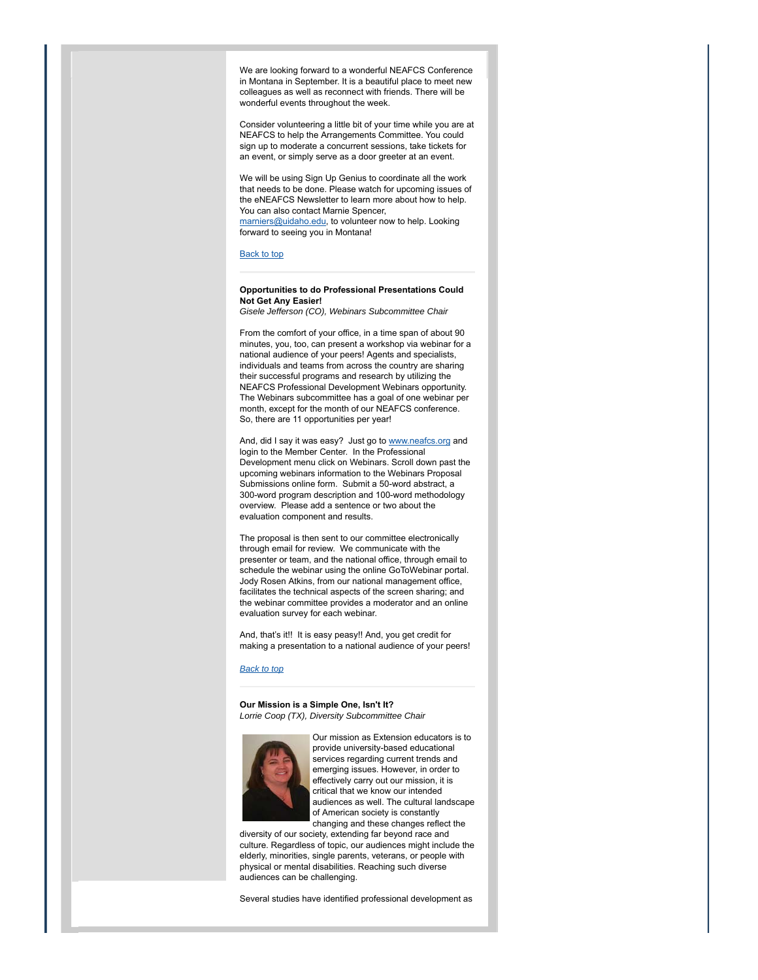We are looking forward to a wonderful NEAFCS Conference in Montana in September. It is a beautiful place to meet new colleagues as well as reconnect with friends. There will be wonderful events throughout the week.

Consider volunteering a little bit of your time while you are at NEAFCS to help the Arrangements Committee. You could sign up to moderate a concurrent sessions, take tickets for an event, or simply serve as a door greeter at an event.

We will be using Sign Up Genius to coordinate all the work that needs to be done. Please watch for upcoming issues of the eNEAFCS Newsletter to learn more about how to help. You can also contact Marnie Spencer, marniers@uidaho.edu, to volunteer now to help. Looking forward to seeing you in Montana!

#### Back to top

# **Opportunities to do Professional Presentations Could Not Get Any Easier!**

*Gisele Jefferson (CO), Webinars Subcommittee Chair*

From the comfort of your office, in a time span of about 90 minutes, you, too, can present a workshop via webinar for a national audience of your peers! Agents and specialists, individuals and teams from across the country are sharing their successful programs and research by utilizing the NEAFCS Professional Development Webinars opportunity. The Webinars subcommittee has a goal of one webinar per month, except for the month of our NEAFCS conference. So, there are 11 opportunities per year!

And, did I say it was easy? Just go to www.neafcs.org and login to the Member Center. In the Professional Development menu click on Webinars. Scroll down past the upcoming webinars information to the Webinars Proposal Submissions online form. Submit a 50-word abstract, a 300-word program description and 100-word methodology overview. Please add a sentence or two about the evaluation component and results.

The proposal is then sent to our committee electronically through email for review. We communicate with the presenter or team, and the national office, through email to schedule the webinar using the online GoToWebinar portal. Jody Rosen Atkins, from our national management office, facilitates the technical aspects of the screen sharing; and the webinar committee provides a moderator and an online evaluation survey for each webinar.

And, that's it!! It is easy peasy!! And, you get credit for making a presentation to a national audience of your peers!

## *Back to top*

**Our Mission is a Simple One, Isn't It?** *Lorrie Coop (TX), Diversity Subcommittee Chair*



Our mission as Extension educators is to provide university-based educational services regarding current trends and emerging issues. However, in order to effectively carry out our mission, it is critical that we know our intended audiences as well. The cultural landscape of American society is constantly changing and these changes reflect the

diversity of our society, extending far beyond race and culture. Regardless of topic, our audiences might include the elderly, minorities, single parents, veterans, or people with physical or mental disabilities. Reaching such diverse audiences can be challenging.

Several studies have identified professional development as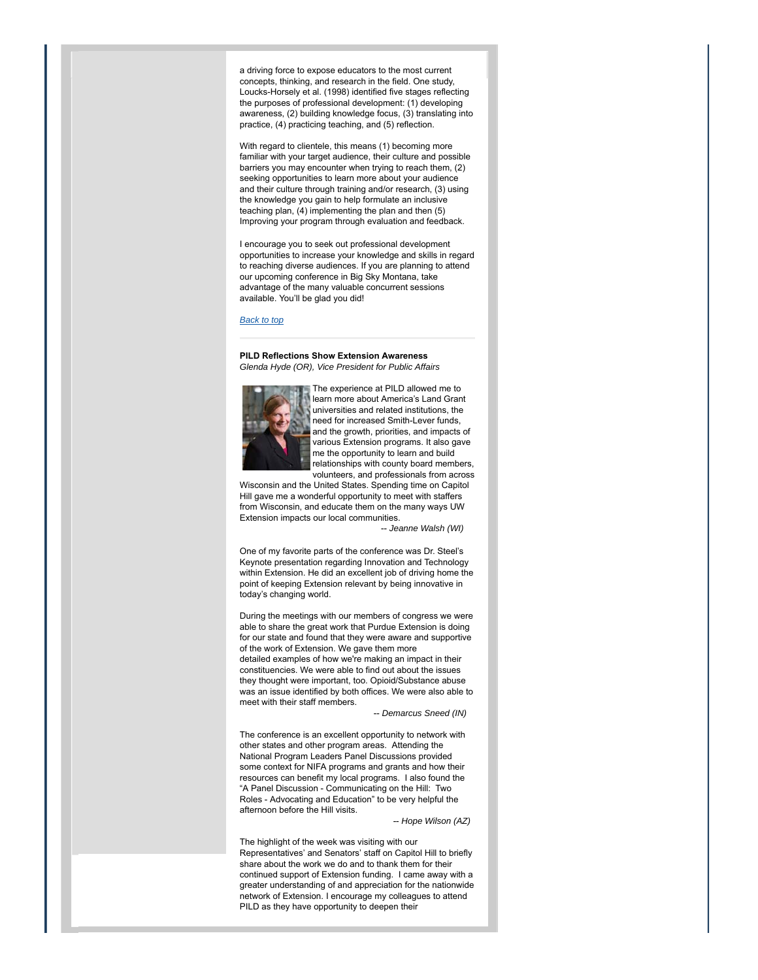a driving force to expose educators to the most current concepts, thinking, and research in the field. One study, Loucks-Horsely et al. (1998) identified five stages reflecting the purposes of professional development: (1) developing awareness, (2) building knowledge focus, (3) translating into practice, (4) practicing teaching, and (5) reflection.

With regard to clientele, this means (1) becoming more familiar with your target audience, their culture and possible barriers you may encounter when trying to reach them, (2) seeking opportunities to learn more about your audience and their culture through training and/or research, (3) using the knowledge you gain to help formulate an inclusive teaching plan, (4) implementing the plan and then (5) Improving your program through evaluation and feedback.

I encourage you to seek out professional development opportunities to increase your knowledge and skills in regard to reaching diverse audiences. If you are planning to attend our upcoming conference in Big Sky Montana, take advantage of the many valuable concurrent sessions available. You'll be glad you did!

# *Back to top*

**PILD Reflections Show Extension Awareness** *Glenda Hyde (OR), Vice President for Public Affairs*



The experience at PILD allowed me to learn more about America's Land Grant universities and related institutions, the need for increased Smith-Lever funds, and the growth, priorities, and impacts of various Extension programs. It also gave me the opportunity to learn and build relationships with county board members, volunteers, and professionals from across

Wisconsin and the United States. Spending time on Capitol Hill gave me a wonderful opportunity to meet with staffers from Wisconsin, and educate them on the many ways UW Extension impacts our local communities.

-- *Jeanne Walsh (WI)*

One of my favorite parts of the conference was Dr. Steel's Keynote presentation regarding Innovation and Technology within Extension. He did an excellent job of driving home the point of keeping Extension relevant by being innovative in today's changing world.

During the meetings with our members of congress we were able to share the great work that Purdue Extension is doing for our state and found that they were aware and supportive of the work of Extension. We gave them more detailed examples of how we're making an impact in their constituencies. We were able to find out about the issues they thought were important, too. Opioid/Substance abuse was an issue identified by both offices. We were also able to meet with their staff members.

-- *Demarcus Sneed (IN)*

The conference is an excellent opportunity to network with other states and other program areas. Attending the National Program Leaders Panel Discussions provided some context for NIFA programs and grants and how their resources can benefit my local programs. I also found the "A Panel Discussion - Communicating on the Hill: Two Roles - Advocating and Education" to be very helpful the afternoon before the Hill visits.

-- *Hope Wilson (AZ)*

The highlight of the week was visiting with our Representatives' and Senators' staff on Capitol Hill to briefly share about the work we do and to thank them for their continued support of Extension funding. I came away with a greater understanding of and appreciation for the nationwide network of Extension. I encourage my colleagues to attend PILD as they have opportunity to deepen their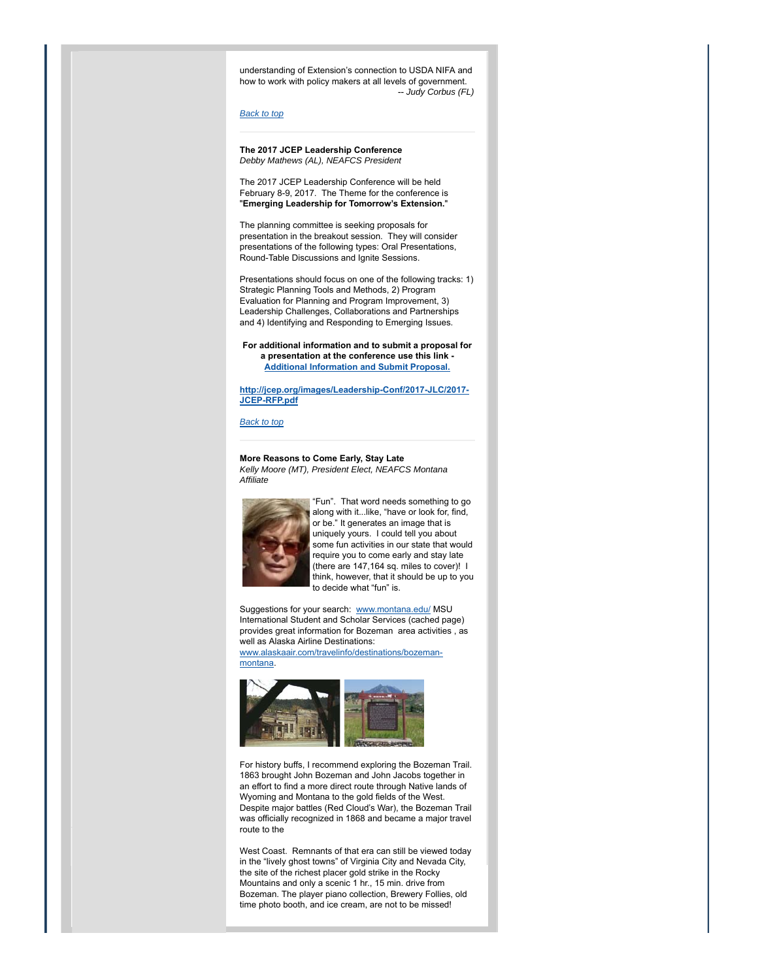understanding of Extension's connection to USDA NIFA and how to work with policy makers at all levels of government. -- *Judy Corbus (FL)*

#### *Back to top*

## **The 2017 JCEP Leadership Conference** *Debby Mathews (AL), NEAFCS President*

The 2017 JCEP Leadership Conference will be held February 8-9, 2017. The Theme for the conference is "**Emerging Leadership for Tomorrow's Extension.**"

The planning committee is seeking proposals for presentation in the breakout session. They will consider presentations of the following types: Oral Presentations, Round-Table Discussions and Ignite Sessions.

Presentations should focus on one of the following tracks: 1) Strategic Planning Tools and Methods, 2) Program Evaluation for Planning and Program Improvement, 3) Leadership Challenges, Collaborations and Partnerships and 4) Identifying and Responding to Emerging Issues.

**For additional information and to submit a proposal for a presentation at the conference use this link - Additional Information and Submit Proposal.**

**http://jcep.org/images/Leadership-Conf/2017-JLC/2017- JCEP-RFP.pdf**

# *Back to top*

**More Reasons to Come Early, Stay Late** *Kelly Moore (MT), President Elect, NEAFCS Montana Affiliate*



"Fun". That word needs something to go along with it...like, "have or look for, find, or be." It generates an image that is uniquely yours. I could tell you about some fun activities in our state that would require you to come early and stay late (there are 147,164 sq. miles to cover)! I think, however, that it should be up to you to decide what "fun" is.

Suggestions for your search: www.montana.edu/ MSU International Student and Scholar Services (cached page) provides great information for Bozeman area activities , as well as Alaska Airline Destinations:

www.alaskaair.com/travelinfo/destinations/bozemanmontana.



For history buffs, I recommend exploring the Bozeman Trail. 1863 brought John Bozeman and John Jacobs together in an effort to find a more direct route through Native lands of Wyoming and Montana to the gold fields of the West. Despite major battles (Red Cloud's War), the Bozeman Trail was officially recognized in 1868 and became a major travel route to the

West Coast. Remnants of that era can still be viewed today in the "lively ghost towns" of Virginia City and Nevada City, the site of the richest placer gold strike in the Rocky Mountains and only a scenic 1 hr., 15 min. drive from Bozeman. The player piano collection, Brewery Follies, old time photo booth, and ice cream, are not to be missed!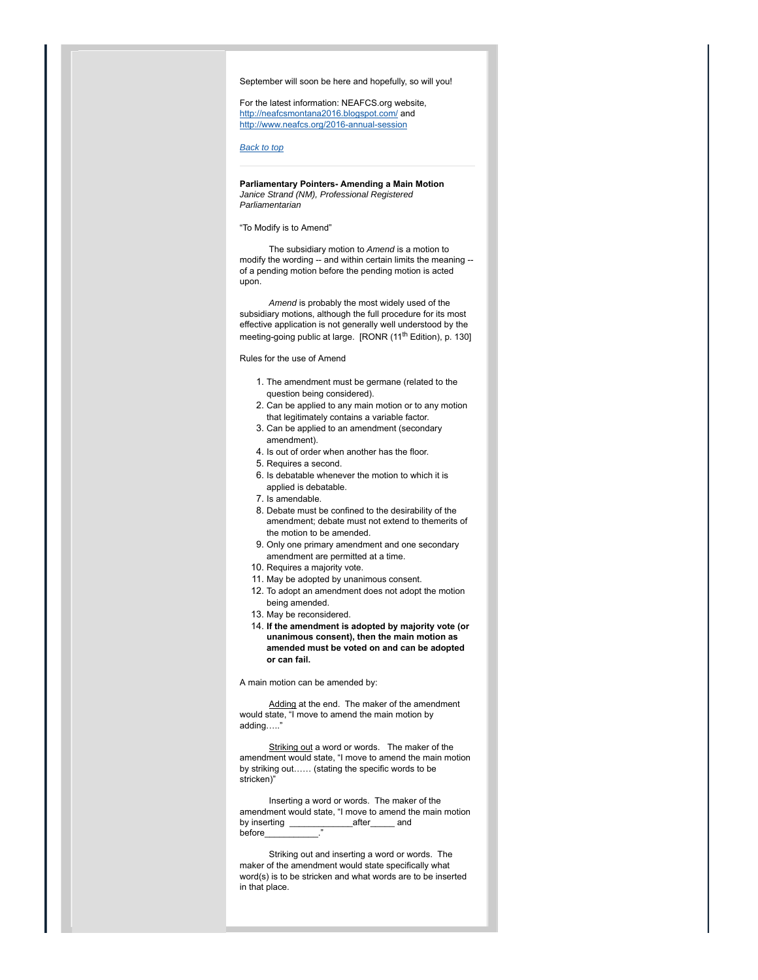September will soon be here and hopefully, so will you!

For the latest information: NEAFCS.org website, http://neafcsmontana2016.blogspot.com/ and http://www.neafcs.org/2016-annual-session

*Back to top*

**Parliamentary Pointers- Amending a Main Motion** *Janice Strand (NM), Professional Registered Parliamentarian*

#### "To Modify is to Amend"

 The subsidiary motion to *Amend* is a motion to modify the wording -- and within certain limits the meaning - of a pending motion before the pending motion is acted upon.

 *Amend* is probably the most widely used of the subsidiary motions, although the full procedure for its most effective application is not generally well understood by the meeting-going public at large. [RONR (11<sup>th</sup> Edition), p. 130]

Rules for the use of Amend

- 1. The amendment must be germane (related to the question being considered).
- 2. Can be applied to any main motion or to any motion that legitimately contains a variable factor.
- 3. Can be applied to an amendment (secondary amendment).
- 4. Is out of order when another has the floor.
- 5. Requires a second.
- 6. Is debatable whenever the motion to which it is applied is debatable.
- 7. Is amendable.
- 8. Debate must be confined to the desirability of the amendment; debate must not extend to themerits of the motion to be amended.
- 9. Only one primary amendment and one secondary amendment are permitted at a time.
- 10. Requires a majority vote.
- 11. May be adopted by unanimous consent.
- 12. To adopt an amendment does not adopt the motion being amended.
- 13. May be reconsidered.
- **If the amendment is adopted by majority vote (or** 14. **unanimous consent), then the main motion as amended must be voted on and can be adopted or can fail.**

A main motion can be amended by:

 Adding at the end. The maker of the amendment would state, "I move to amend the main motion by adding…..'

Striking out a word or words. The maker of the amendment would state, "I move to amend the main motion by striking out…… (stating the specific words to be stricken)"

 Inserting a word or words. The maker of the amendment would state, "I move to amend the main motion by inserting \_\_\_\_\_\_\_\_\_\_\_\_\_after\_\_\_\_\_ and before

 Striking out and inserting a word or words. The maker of the amendment would state specifically what word(s) is to be stricken and what words are to be inserted in that place.